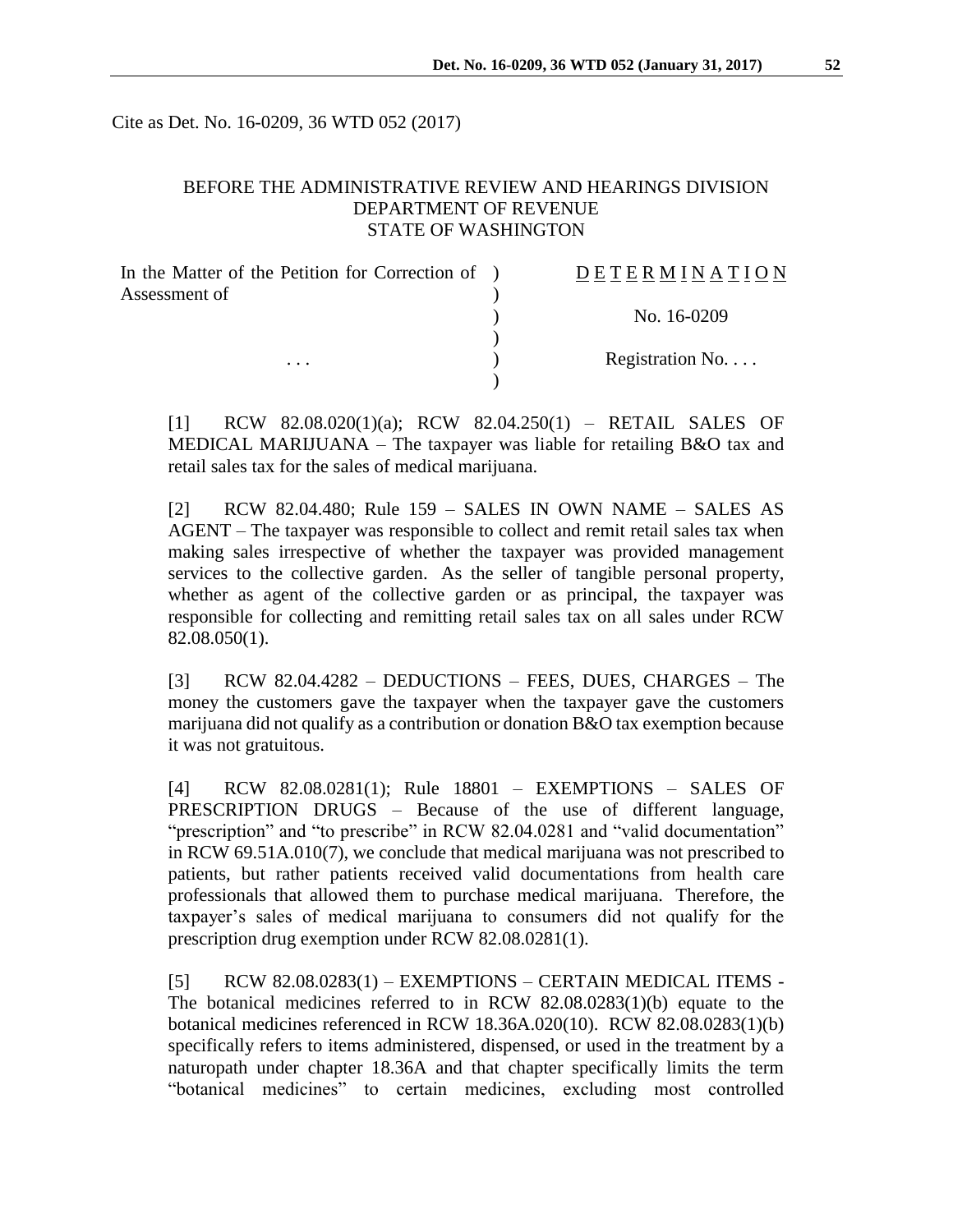Cite as Det. No. 16-0209, 36 WTD 052 (2017)

### BEFORE THE ADMINISTRATIVE REVIEW AND HEARINGS DIVISION DEPARTMENT OF REVENUE STATE OF WASHINGTON

| In the Matter of the Petition for Correction of ) | DETERMINATION   |
|---------------------------------------------------|-----------------|
| Assessment of<br>$\cdots$                         |                 |
|                                                   | No. 16-0209     |
|                                                   |                 |
|                                                   | Registration No |
|                                                   |                 |

[1] RCW 82.08.020(1)(a); RCW 82.04.250(1) – RETAIL SALES OF MEDICAL MARIJUANA – The taxpayer was liable for retailing B&O tax and retail sales tax for the sales of medical marijuana.

[2] RCW 82.04.480; Rule 159 – SALES IN OWN NAME – SALES AS AGENT – The taxpayer was responsible to collect and remit retail sales tax when making sales irrespective of whether the taxpayer was provided management services to the collective garden. As the seller of tangible personal property, whether as agent of the collective garden or as principal, the taxpayer was responsible for collecting and remitting retail sales tax on all sales under RCW 82.08.050(1).

[3] RCW 82.04.4282 – DEDUCTIONS – FEES, DUES, CHARGES – The money the customers gave the taxpayer when the taxpayer gave the customers marijuana did not qualify as a contribution or donation B&O tax exemption because it was not gratuitous.

[4] RCW 82.08.0281(1); Rule 18801 – EXEMPTIONS – SALES OF PRESCRIPTION DRUGS – Because of the use of different language, "prescription" and "to prescribe" in RCW 82.04.0281 and "valid documentation" in RCW 69.51A.010(7), we conclude that medical marijuana was not prescribed to patients, but rather patients received valid documentations from health care professionals that allowed them to purchase medical marijuana. Therefore, the taxpayer's sales of medical marijuana to consumers did not qualify for the prescription drug exemption under RCW 82.08.0281(1).

[5] RCW 82.08.0283(1) – EXEMPTIONS – CERTAIN MEDICAL ITEMS - The botanical medicines referred to in RCW 82.08.0283(1)(b) equate to the botanical medicines referenced in RCW 18.36A.020(10). RCW 82.08.0283(1)(b) specifically refers to items administered, dispensed, or used in the treatment by a naturopath under chapter 18.36A and that chapter specifically limits the term "botanical medicines" to certain medicines, excluding most controlled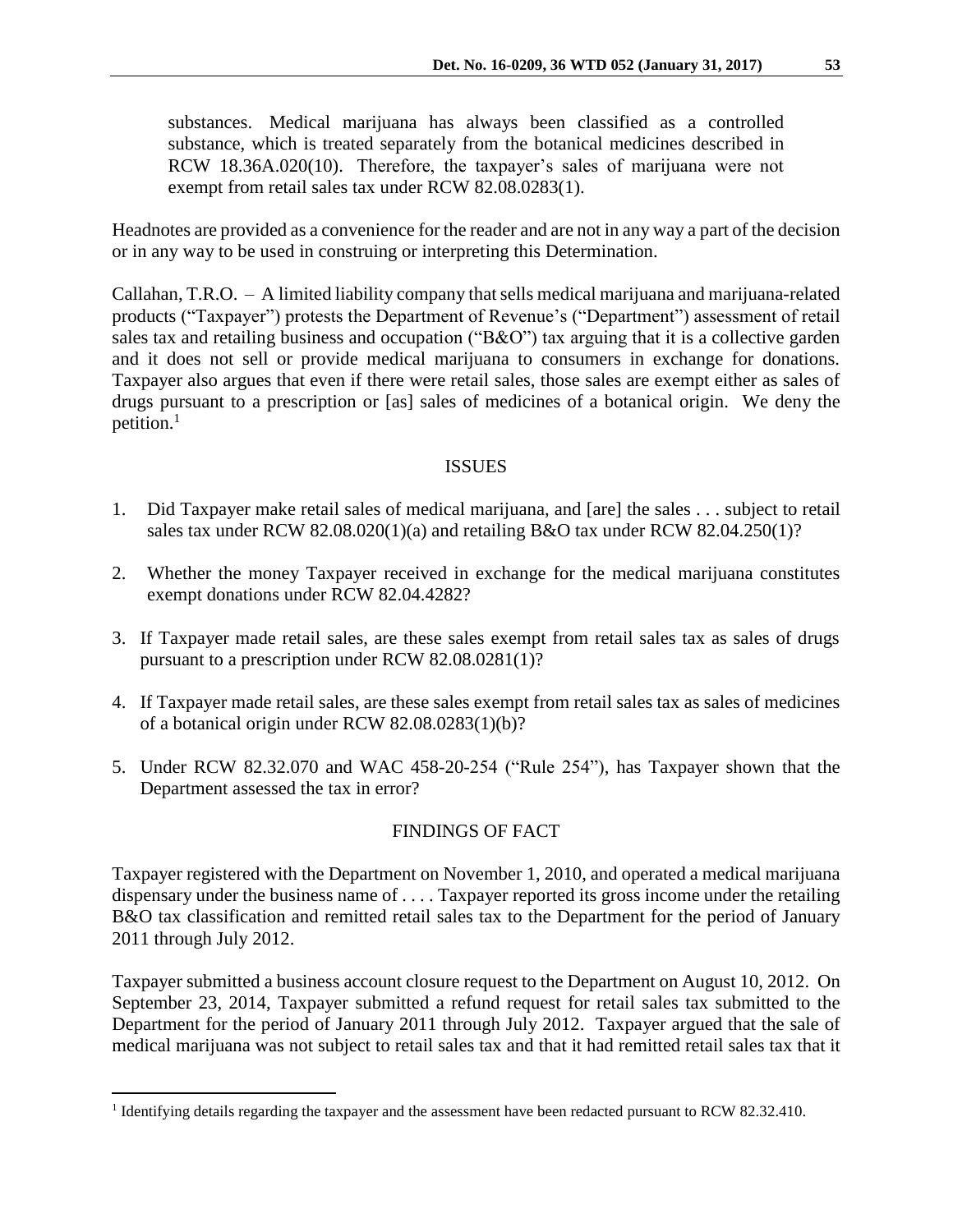substances. Medical marijuana has always been classified as a controlled substance, which is treated separately from the botanical medicines described in RCW 18.36A.020(10). Therefore, the taxpayer's sales of marijuana were not exempt from retail sales tax under RCW 82.08.0283(1).

Headnotes are provided as a convenience for the reader and are not in any way a part of the decision or in any way to be used in construing or interpreting this Determination.

Callahan, T.R.O. – A limited liability company that sells medical marijuana and marijuana-related products ("Taxpayer") protests the Department of Revenue's ("Department") assessment of retail sales tax and retailing business and occupation ("B&O") tax arguing that it is a collective garden and it does not sell or provide medical marijuana to consumers in exchange for donations. Taxpayer also argues that even if there were retail sales, those sales are exempt either as sales of drugs pursuant to a prescription or [as] sales of medicines of a botanical origin. We deny the petition. $1$ 

# ISSUES

- 1. Did Taxpayer make retail sales of medical marijuana, and [are] the sales . . . subject to retail sales tax under RCW 82.08.020(1)(a) and retailing B&O tax under RCW 82.04.250(1)?
- 2. Whether the money Taxpayer received in exchange for the medical marijuana constitutes exempt donations under RCW 82.04.4282?
- 3. If Taxpayer made retail sales, are these sales exempt from retail sales tax as sales of drugs pursuant to a prescription under RCW 82.08.0281(1)?
- 4. If Taxpayer made retail sales, are these sales exempt from retail sales tax as sales of medicines of a botanical origin under RCW 82.08.0283(1)(b)?
- 5. Under RCW 82.32.070 and WAC 458-20-254 ("Rule 254"), has Taxpayer shown that the Department assessed the tax in error?

# FINDINGS OF FACT

Taxpayer registered with the Department on November 1, 2010, and operated a medical marijuana dispensary under the business name of . . . . Taxpayer reported its gross income under the retailing B&O tax classification and remitted retail sales tax to the Department for the period of January 2011 through July 2012.

Taxpayer submitted a business account closure request to the Department on August 10, 2012. On September 23, 2014, Taxpayer submitted a refund request for retail sales tax submitted to the Department for the period of January 2011 through July 2012. Taxpayer argued that the sale of medical marijuana was not subject to retail sales tax and that it had remitted retail sales tax that it

<sup>&</sup>lt;sup>1</sup> Identifying details regarding the taxpayer and the assessment have been redacted pursuant to RCW 82.32.410.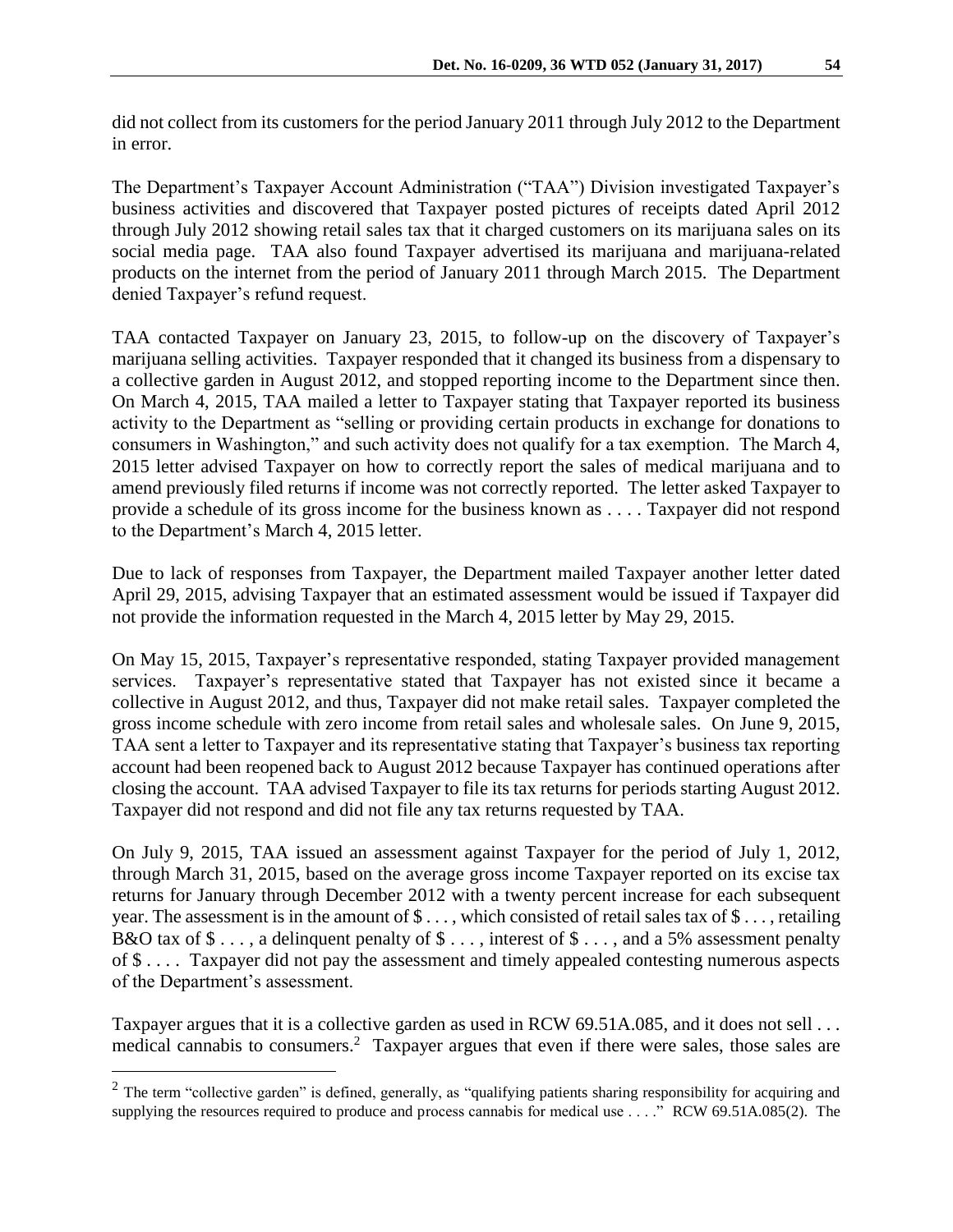did not collect from its customers for the period January 2011 through July 2012 to the Department in error.

The Department's Taxpayer Account Administration ("TAA") Division investigated Taxpayer's business activities and discovered that Taxpayer posted pictures of receipts dated April 2012 through July 2012 showing retail sales tax that it charged customers on its marijuana sales on its social media page. TAA also found Taxpayer advertised its marijuana and marijuana-related products on the internet from the period of January 2011 through March 2015. The Department denied Taxpayer's refund request.

TAA contacted Taxpayer on January 23, 2015, to follow-up on the discovery of Taxpayer's marijuana selling activities. Taxpayer responded that it changed its business from a dispensary to a collective garden in August 2012, and stopped reporting income to the Department since then. On March 4, 2015, TAA mailed a letter to Taxpayer stating that Taxpayer reported its business activity to the Department as "selling or providing certain products in exchange for donations to consumers in Washington," and such activity does not qualify for a tax exemption. The March 4, 2015 letter advised Taxpayer on how to correctly report the sales of medical marijuana and to amend previously filed returns if income was not correctly reported. The letter asked Taxpayer to provide a schedule of its gross income for the business known as . . . . Taxpayer did not respond to the Department's March 4, 2015 letter.

Due to lack of responses from Taxpayer, the Department mailed Taxpayer another letter dated April 29, 2015, advising Taxpayer that an estimated assessment would be issued if Taxpayer did not provide the information requested in the March 4, 2015 letter by May 29, 2015.

On May 15, 2015, Taxpayer's representative responded, stating Taxpayer provided management services. Taxpayer's representative stated that Taxpayer has not existed since it became a collective in August 2012, and thus, Taxpayer did not make retail sales. Taxpayer completed the gross income schedule with zero income from retail sales and wholesale sales. On June 9, 2015, TAA sent a letter to Taxpayer and its representative stating that Taxpayer's business tax reporting account had been reopened back to August 2012 because Taxpayer has continued operations after closing the account. TAA advised Taxpayer to file its tax returns for periods starting August 2012. Taxpayer did not respond and did not file any tax returns requested by TAA.

On July 9, 2015, TAA issued an assessment against Taxpayer for the period of July 1, 2012, through March 31, 2015, based on the average gross income Taxpayer reported on its excise tax returns for January through December 2012 with a twenty percent increase for each subsequent year. The assessment is in the amount of \$ . . . , which consisted of retail sales tax of \$ . . . , retailing B&O tax of  $\$\ldots$ , a delinquent penalty of  $\$\ldots$ , interest of  $\$\ldots$ , and a 5% assessment penalty of \$ . . . . Taxpayer did not pay the assessment and timely appealed contesting numerous aspects of the Department's assessment.

Taxpayer argues that it is a collective garden as used in RCW 69.51A.085, and it does not sell ... medical cannabis to consumers.<sup>2</sup> Taxpayer argues that even if there were sales, those sales are

 $2$  The term "collective garden" is defined, generally, as "qualifying patients sharing responsibility for acquiring and supplying the resources required to produce and process cannabis for medical use . . . ." RCW 69.51A.085(2). The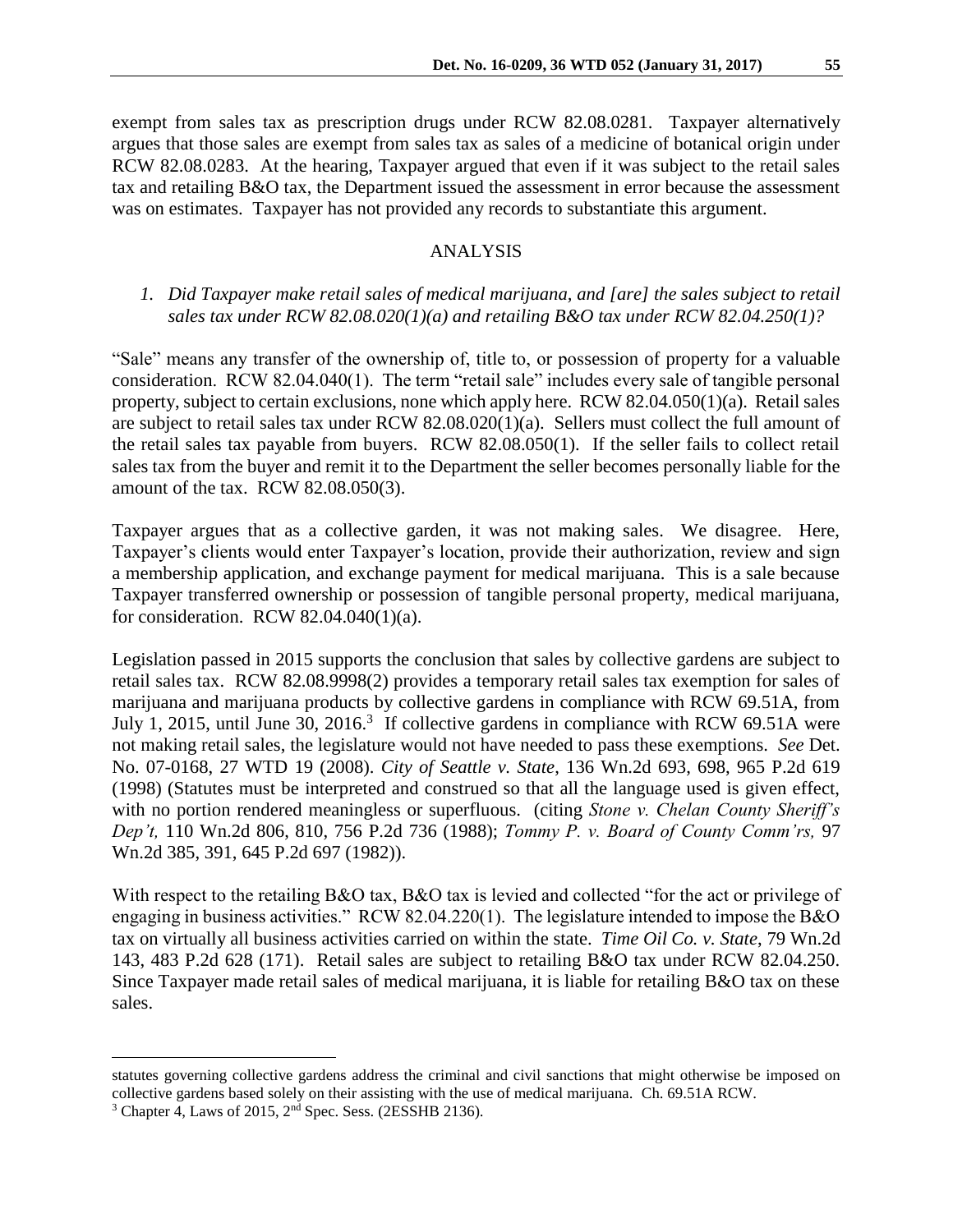exempt from sales tax as prescription drugs under RCW 82.08.0281. Taxpayer alternatively argues that those sales are exempt from sales tax as sales of a medicine of botanical origin under RCW 82.08.0283. At the hearing, Taxpayer argued that even if it was subject to the retail sales tax and retailing B&O tax, the Department issued the assessment in error because the assessment was on estimates. Taxpayer has not provided any records to substantiate this argument.

#### ANALYSIS

# *1. Did Taxpayer make retail sales of medical marijuana, and [are] the sales subject to retail sales tax under RCW 82.08.020(1)(a) and retailing B&O tax under RCW 82.04.250(1)?*

"Sale" means any transfer of the ownership of, title to, or possession of property for a valuable consideration. RCW 82.04.040(1). The term "retail sale" includes every sale of tangible personal property, subject to certain exclusions, none which apply here. RCW 82.04.050(1)(a). Retail sales are subject to retail sales tax under RCW  $82.08.020(1)(a)$ . Sellers must collect the full amount of the retail sales tax payable from buyers. RCW 82.08.050(1). If the seller fails to collect retail sales tax from the buyer and remit it to the Department the seller becomes personally liable for the amount of the tax. RCW 82.08.050(3).

Taxpayer argues that as a collective garden, it was not making sales. We disagree. Here, Taxpayer's clients would enter Taxpayer's location, provide their authorization, review and sign a membership application, and exchange payment for medical marijuana. This is a sale because Taxpayer transferred ownership or possession of tangible personal property, medical marijuana, for consideration. RCW 82.04.040(1)(a).

Legislation passed in 2015 supports the conclusion that sales by collective gardens are subject to retail sales tax. RCW 82.08.9998(2) provides a temporary retail sales tax exemption for sales of marijuana and marijuana products by collective gardens in compliance with RCW 69.51A, from July 1, 2015, until June 30, 2016.<sup>3</sup> If collective gardens in compliance with RCW 69.51A were not making retail sales, the legislature would not have needed to pass these exemptions. *See* Det. No. 07-0168, 27 WTD 19 (2008). *City of Seattle v. State*, 136 Wn.2d 693, 698, 965 P.2d 619 (1998) (Statutes must be interpreted and construed so that all the language used is given effect, with no portion rendered meaningless or superfluous. (citing *Stone v. Chelan County Sheriff's Dep't,* 110 Wn.2d 806, 810, 756 P.2d 736 (1988); *Tommy P. v. Board of County Comm'rs,* 97 Wn.2d 385, 391, 645 P.2d 697 (1982)).

With respect to the retailing B&O tax, B&O tax is levied and collected "for the act or privilege of engaging in business activities." RCW 82.04.220(1). The legislature intended to impose the B&O tax on virtually all business activities carried on within the state. *Time Oil Co. v. State*, 79 Wn.2d 143, 483 P.2d 628 (171). Retail sales are subject to retailing B&O tax under RCW 82.04.250. Since Taxpayer made retail sales of medical marijuana, it is liable for retailing B&O tax on these sales.

statutes governing collective gardens address the criminal and civil sanctions that might otherwise be imposed on collective gardens based solely on their assisting with the use of medical marijuana. Ch. 69.51A RCW.

 $3$  Chapter 4, Laws of 2015,  $2<sup>nd</sup>$  Spec. Sess. (2ESSHB 2136).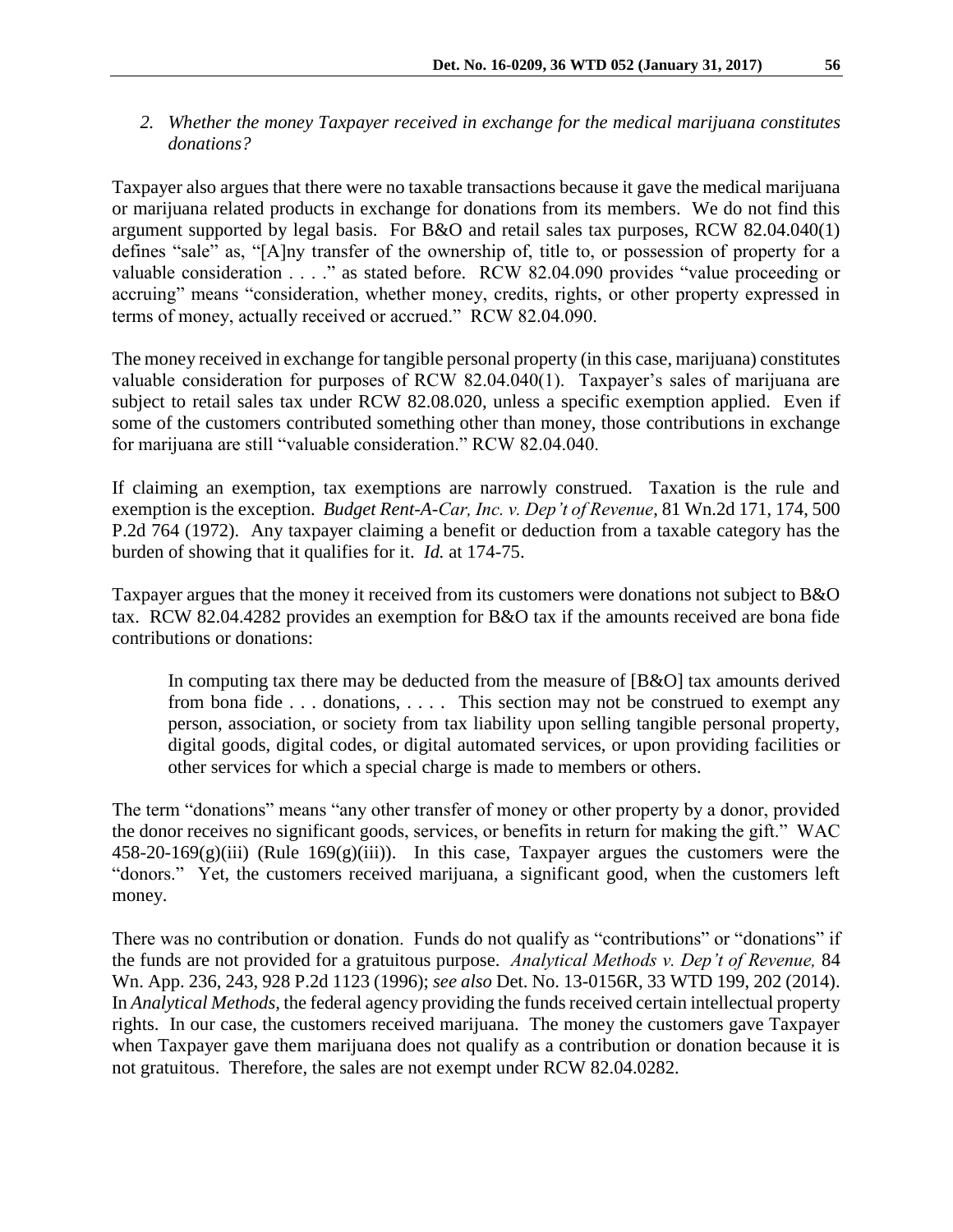*2. Whether the money Taxpayer received in exchange for the medical marijuana constitutes donations?*

Taxpayer also argues that there were no taxable transactions because it gave the medical marijuana or marijuana related products in exchange for donations from its members. We do not find this argument supported by legal basis. For B&O and retail sales tax purposes, RCW 82.04.040(1) defines "sale" as, "[A]ny transfer of the ownership of, title to, or possession of property for a valuable consideration . . . ." as stated before. RCW 82.04.090 provides "value proceeding or accruing" means "consideration, whether money, credits, rights, or other property expressed in terms of money, actually received or accrued." RCW 82.04.090.

The money received in exchange for tangible personal property (in this case, marijuana) constitutes valuable consideration for purposes of RCW 82.04.040(1). Taxpayer's sales of marijuana are subject to retail sales tax under RCW 82.08.020, unless a specific exemption applied. Even if some of the customers contributed something other than money, those contributions in exchange for marijuana are still "valuable consideration." RCW 82.04.040.

If claiming an exemption, tax exemptions are narrowly construed. Taxation is the rule and exemption is the exception. *Budget Rent-A-Car, Inc. v. Dep't of Revenue*, 81 Wn.2d 171, 174, 500 P.2d 764 (1972). Any taxpayer claiming a benefit or deduction from a taxable category has the burden of showing that it qualifies for it. *Id.* at 174-75.

Taxpayer argues that the money it received from its customers were donations not subject to B&O tax. RCW 82.04.4282 provides an exemption for B&O tax if the amounts received are bona fide contributions or donations:

In computing tax there may be deducted from the measure of [B&O] tax amounts derived from bona fide . . . donations, . . . . This section may not be construed to exempt any person, association, or society from tax liability upon selling tangible personal property, digital goods, digital codes, or digital automated services, or upon providing facilities or other services for which a special charge is made to members or others.

The term "donations" means "any other transfer of money or other property by a donor, provided the donor receives no significant goods, services, or benefits in return for making the gift." WAC  $458-20-169(g)(iii)$  (Rule  $169(g)(iii)$ ). In this case, Taxpayer argues the customers were the "donors." Yet, the customers received marijuana, a significant good, when the customers left money.

There was no contribution or donation. Funds do not qualify as "contributions" or "donations" if the funds are not provided for a gratuitous purpose. *Analytical Methods v. Dep't of Revenue,* 84 Wn. App. 236, 243, 928 P.2d 1123 (1996); *see also* Det. No. 13-0156R, 33 WTD 199, 202 (2014). In *Analytical Methods,* the federal agency providing the funds received certain intellectual property rights. In our case, the customers received marijuana. The money the customers gave Taxpayer when Taxpayer gave them marijuana does not qualify as a contribution or donation because it is not gratuitous. Therefore, the sales are not exempt under RCW 82.04.0282.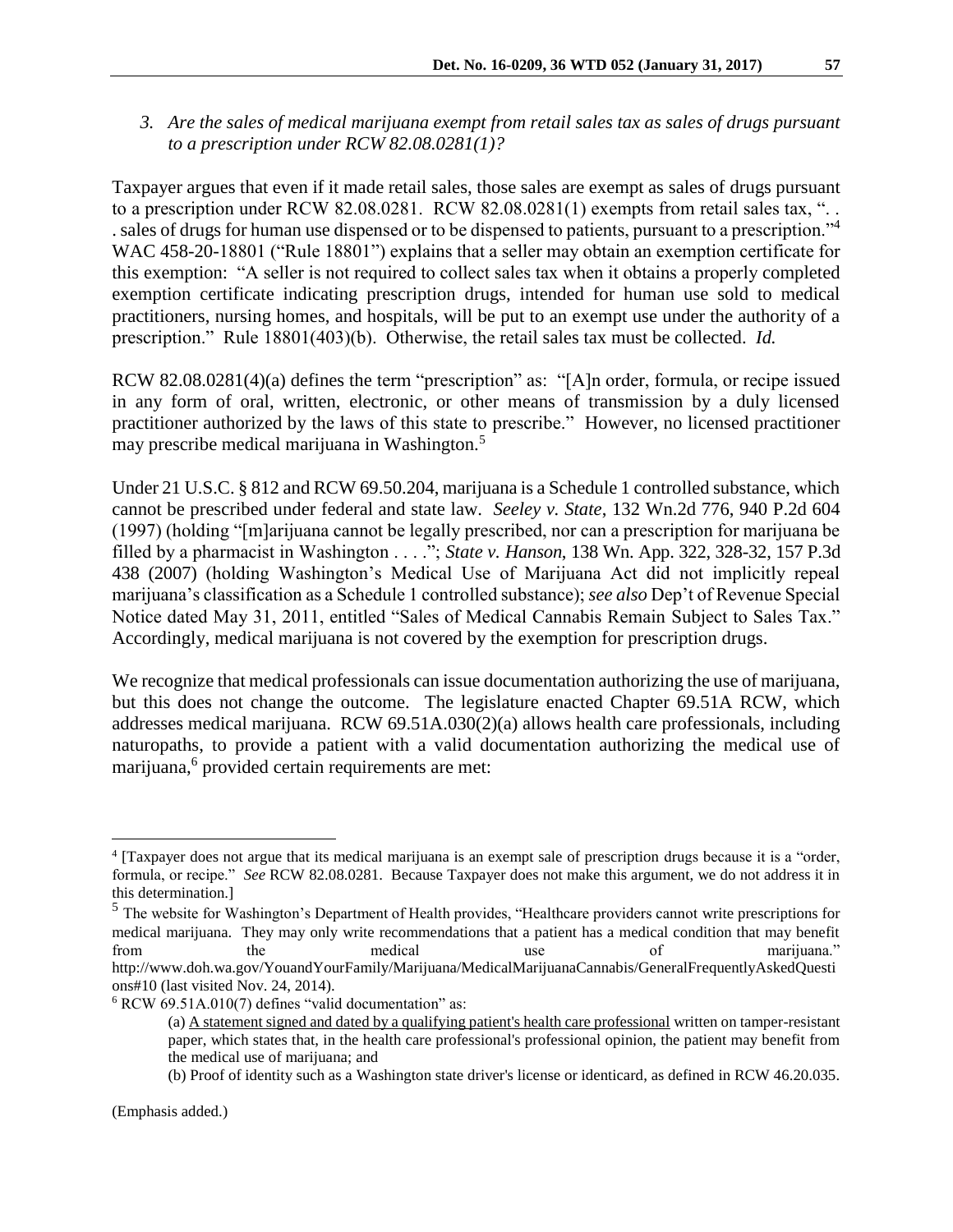*3. Are the sales of medical marijuana exempt from retail sales tax as sales of drugs pursuant to a prescription under RCW 82.08.0281(1)?* 

Taxpayer argues that even if it made retail sales, those sales are exempt as sales of drugs pursuant to a prescription under RCW 82.08.0281. RCW 82.08.0281(1) exempts from retail sales tax, "... . sales of drugs for human use dispensed or to be dispensed to patients, pursuant to a prescription."<sup>4</sup> WAC 458-20-18801 ("Rule 18801") explains that a seller may obtain an exemption certificate for this exemption: "A seller is not required to collect sales tax when it obtains a properly completed exemption certificate indicating prescription drugs, intended for human use sold to medical practitioners, nursing homes, and hospitals, will be put to an exempt use under the authority of a prescription." Rule 18801(403)(b). Otherwise, the retail sales tax must be collected. *Id.*

RCW 82.08.0281(4)(a) defines the term "prescription" as: "[A]n order, formula, or recipe issued in any form of oral, written, electronic, or other means of transmission by a duly licensed practitioner authorized by the laws of this state to prescribe." However, no licensed practitioner may prescribe medical marijuana in Washington.<sup>5</sup>

Under 21 U.S.C. § 812 and RCW 69.50.204, marijuana is a Schedule 1 controlled substance, which cannot be prescribed under federal and state law. *Seeley v. State*, 132 Wn.2d 776, 940 P.2d 604 (1997) (holding "[m]arijuana cannot be legally prescribed, nor can a prescription for marijuana be filled by a pharmacist in Washington . . . ."; *State v. Hanson*, 138 Wn. App. 322, 328-32, 157 P.3d 438 (2007) (holding Washington's Medical Use of Marijuana Act did not implicitly repeal marijuana's classification as a Schedule 1 controlled substance); *see also* Dep't of Revenue Special Notice dated May 31, 2011, entitled "Sales of Medical Cannabis Remain Subject to Sales Tax." Accordingly, medical marijuana is not covered by the exemption for prescription drugs.

We recognize that medical professionals can issue documentation authorizing the use of marijuana, but this does not change the outcome. The legislature enacted Chapter 69.51A RCW, which addresses medical marijuana. RCW 69.51A.030(2)(a) allows health care professionals, including naturopaths, to provide a patient with a valid documentation authorizing the medical use of marijuana,<sup>6</sup> provided certain requirements are met:

<sup>&</sup>lt;sup>4</sup> [Taxpayer does not argue that its medical marijuana is an exempt sale of prescription drugs because it is a "order, formula, or recipe." *See* RCW 82.08.0281. Because Taxpayer does not make this argument, we do not address it in this determination.]

<sup>&</sup>lt;sup>5</sup> The website for Washington's Department of Health provides, "Healthcare providers cannot write prescriptions for medical marijuana. They may only write recommendations that a patient has a medical condition that may benefit from the medical use of marijuana." http://www.doh.wa.gov/YouandYourFamily/Marijuana/MedicalMarijuanaCannabis/GeneralFrequentlyAskedQuesti ons#10 (last visited Nov. 24, 2014).

 $6$  RCW 69.51A.010(7) defines "valid documentation" as:

<sup>(</sup>a) A statement signed and dated by a qualifying patient's health care professional written on tamper-resistant paper, which states that, in the health care professional's professional opinion, the patient may benefit from the medical use of marijuana; and

<sup>(</sup>b) Proof of identity such as a Washington state driver's license or identicard, as defined in RCW 46.20.035.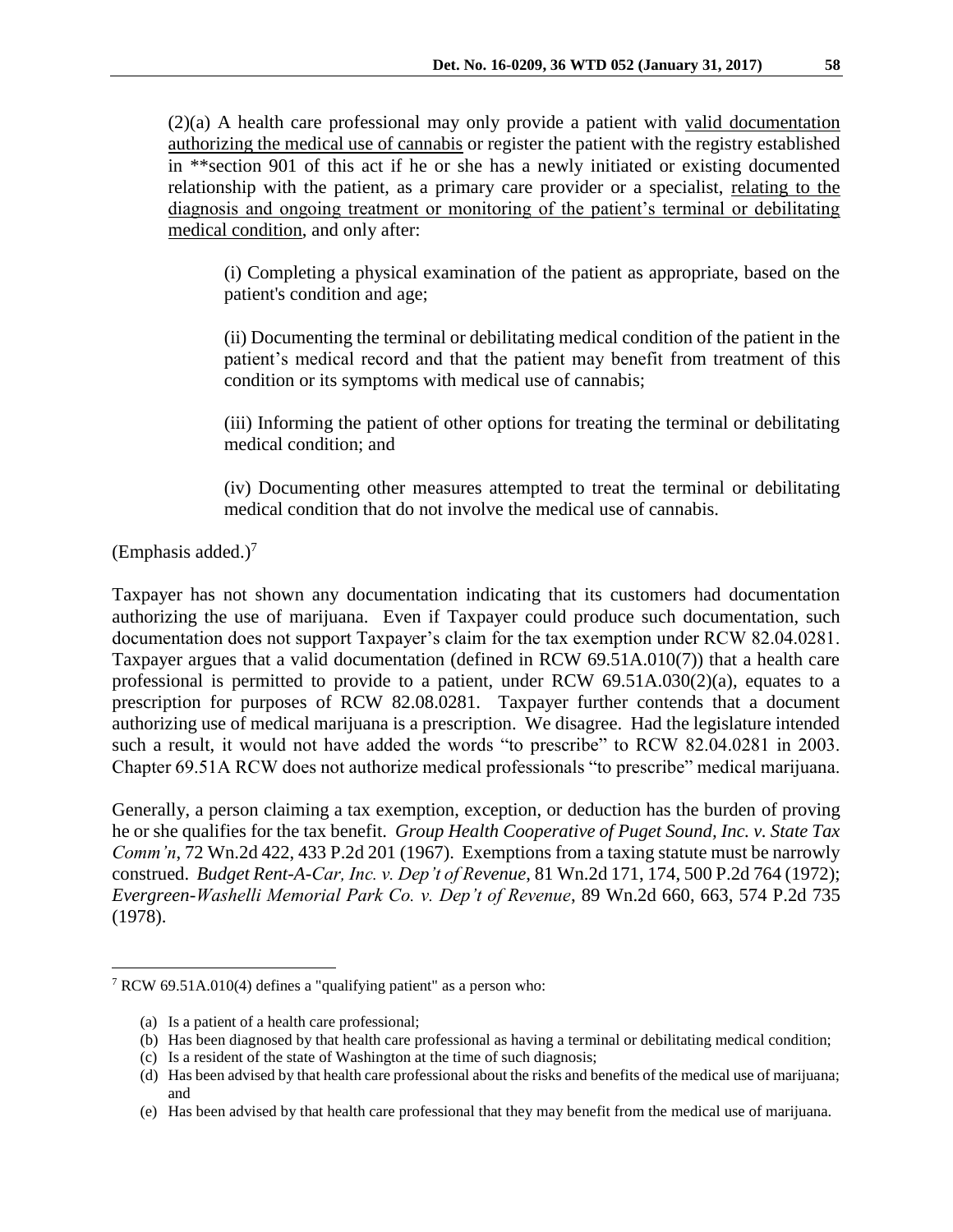(2)(a) A health care professional may only provide a patient with valid documentation authorizing the medical use of cannabis or register the patient with the registry established in \*\*section 901 of this act if he or she has a newly initiated or existing documented relationship with the patient, as a primary care provider or a specialist, relating to the diagnosis and ongoing treatment or monitoring of the patient's terminal or debilitating medical condition, and only after:

(i) Completing a physical examination of the patient as appropriate, based on the patient's condition and age;

(ii) Documenting the terminal or debilitating medical condition of the patient in the patient's medical record and that the patient may benefit from treatment of this condition or its symptoms with medical use of cannabis;

(iii) Informing the patient of other options for treating the terminal or debilitating medical condition; and

(iv) Documenting other measures attempted to treat the terminal or debilitating medical condition that do not involve the medical use of cannabis.

 $(Emphasis added.)<sup>7</sup>$ 

 $\overline{a}$ 

Taxpayer has not shown any documentation indicating that its customers had documentation authorizing the use of marijuana. Even if Taxpayer could produce such documentation, such documentation does not support Taxpayer's claim for the tax exemption under RCW 82.04.0281. Taxpayer argues that a valid documentation (defined in RCW 69.51A.010(7)) that a health care professional is permitted to provide to a patient, under RCW 69.51A.030(2)(a), equates to a prescription for purposes of RCW 82.08.0281. Taxpayer further contends that a document authorizing use of medical marijuana is a prescription. We disagree. Had the legislature intended such a result, it would not have added the words "to prescribe" to RCW 82.04.0281 in 2003. Chapter 69.51A RCW does not authorize medical professionals "to prescribe" medical marijuana.

Generally, a person claiming a tax exemption, exception, or deduction has the burden of proving he or she qualifies for the tax benefit. *Group Health Cooperative of Puget Sound, Inc. v. State Tax Comm'n*, 72 Wn.2d 422, 433 P.2d 201 (1967). Exemptions from a taxing statute must be narrowly construed. *Budget Rent-A-Car, Inc. v. Dep't of Revenue*, 81 Wn.2d 171, 174, 500 P.2d 764 (1972); *Evergreen-Washelli Memorial Park Co. v. Dep't of Revenue*, 89 Wn.2d 660, 663, 574 P.2d 735 (1978).

<sup>7</sup> RCW 69.51A.010(4) defines a "qualifying patient" as a person who:

<sup>(</sup>a) Is a patient of a health care professional;

<sup>(</sup>b) Has been diagnosed by that health care professional as having a terminal or debilitating medical condition;

<sup>(</sup>c) Is a resident of the state of Washington at the time of such diagnosis;

<sup>(</sup>d) Has been advised by that health care professional about the risks and benefits of the medical use of marijuana; and

<sup>(</sup>e) Has been advised by that health care professional that they may benefit from the medical use of marijuana.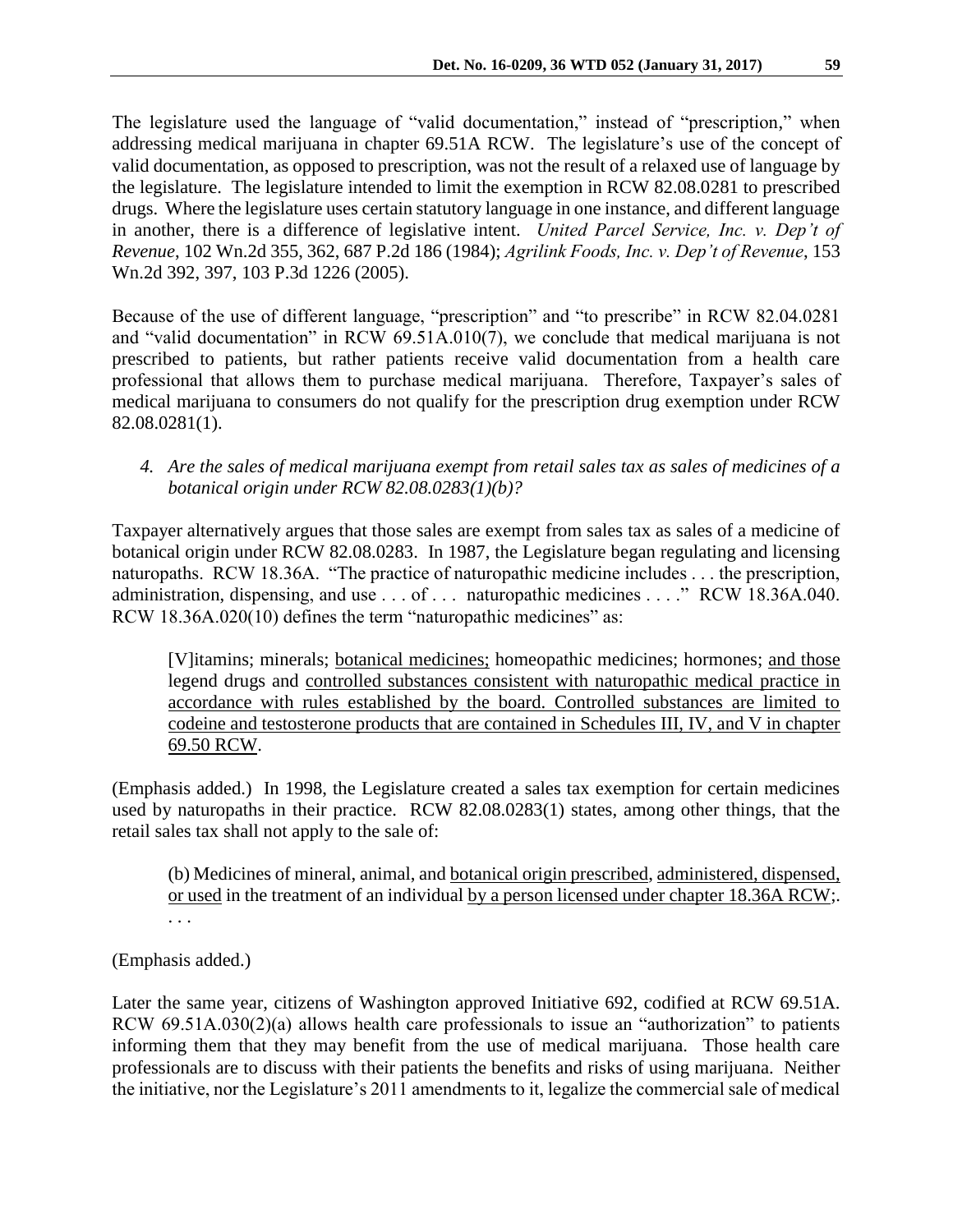The legislature used the language of "valid documentation," instead of "prescription," when addressing medical marijuana in chapter 69.51A RCW. The legislature's use of the concept of valid documentation, as opposed to prescription, was not the result of a relaxed use of language by the legislature. The legislature intended to limit the exemption in RCW 82.08.0281 to prescribed drugs. Where the legislature uses certain statutory language in one instance, and different language in another, there is a difference of legislative intent. *United Parcel Service, Inc. v. Dep't of Revenue*, 102 Wn.2d 355, 362, 687 P.2d 186 (1984); *Agrilink Foods, Inc. v. Dep't of Revenue*, 153 Wn.2d 392, 397, 103 P.3d 1226 (2005).

Because of the use of different language, "prescription" and "to prescribe" in RCW 82.04.0281 and "valid documentation" in RCW 69.51A.010(7), we conclude that medical marijuana is not prescribed to patients, but rather patients receive valid documentation from a health care professional that allows them to purchase medical marijuana. Therefore, Taxpayer's sales of medical marijuana to consumers do not qualify for the prescription drug exemption under RCW 82.08.0281(1).

*4. Are the sales of medical marijuana exempt from retail sales tax as sales of medicines of a botanical origin under RCW 82.08.0283(1)(b)?* 

Taxpayer alternatively argues that those sales are exempt from sales tax as sales of a medicine of botanical origin under RCW 82.08.0283. In 1987, the Legislature began regulating and licensing naturopaths. RCW 18.36A. "The practice of naturopathic medicine includes . . . the prescription, administration, dispensing, and use . . . of . . . naturopathic medicines . . . ." RCW 18.36A.040. RCW 18.36A.020(10) defines the term "naturopathic medicines" as:

[V]itamins; minerals; botanical medicines; homeopathic medicines; hormones; and those legend drugs and controlled substances consistent with naturopathic medical practice in accordance with rules established by the board. Controlled substances are limited to codeine and testosterone products that are contained in Schedules III, IV, and V in chapter 69.50 RCW.

(Emphasis added.) In 1998, the Legislature created a sales tax exemption for certain medicines used by naturopaths in their practice. RCW 82.08.0283(1) states, among other things, that the retail sales tax shall not apply to the sale of:

(b) Medicines of mineral, animal, and botanical origin prescribed, administered, dispensed, or used in the treatment of an individual by a person licensed under chapter 18.36A RCW;. . . .

# (Emphasis added.)

Later the same year, citizens of Washington approved Initiative 692, codified at RCW 69.51A. RCW 69.51A.030(2)(a) allows health care professionals to issue an "authorization" to patients informing them that they may benefit from the use of medical marijuana. Those health care professionals are to discuss with their patients the benefits and risks of using marijuana. Neither the initiative, nor the Legislature's 2011 amendments to it, legalize the commercial sale of medical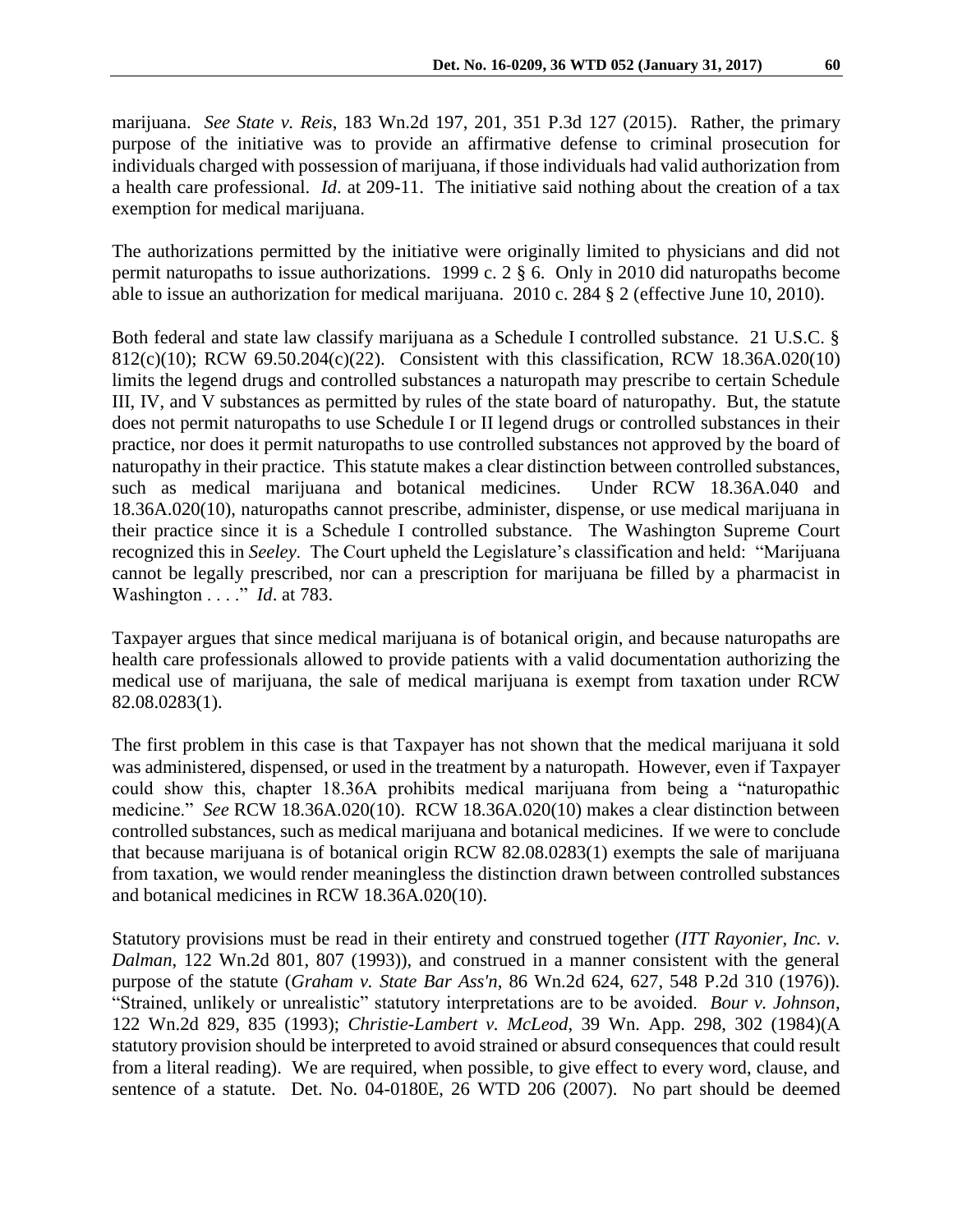The authorizations permitted by the initiative were originally limited to physicians and did not permit naturopaths to issue authorizations. 1999 c. 2 § 6. Only in 2010 did naturopaths become able to issue an authorization for medical marijuana. 2010 c. 284 § 2 (effective June 10, 2010).

Both federal and state law classify marijuana as a Schedule I controlled substance. 21 U.S.C. § 812(c)(10); RCW 69.50.204(c)(22). Consistent with this classification, RCW 18.36A.020(10) limits the legend drugs and controlled substances a naturopath may prescribe to certain Schedule III, IV, and V substances as permitted by rules of the state board of naturopathy. But, the statute does not permit naturopaths to use Schedule I or II legend drugs or controlled substances in their practice, nor does it permit naturopaths to use controlled substances not approved by the board of naturopathy in their practice. This statute makes a clear distinction between controlled substances, such as medical marijuana and botanical medicines. Under RCW 18.36A.040 and 18.36A.020(10), naturopaths cannot prescribe, administer, dispense, or use medical marijuana in their practice since it is a Schedule I controlled substance. The Washington Supreme Court recognized this in *Seeley*. The Court upheld the Legislature's classification and held: "Marijuana cannot be legally prescribed, nor can a prescription for marijuana be filled by a pharmacist in Washington . . . ." *Id*. at 783.

Taxpayer argues that since medical marijuana is of botanical origin, and because naturopaths are health care professionals allowed to provide patients with a valid documentation authorizing the medical use of marijuana, the sale of medical marijuana is exempt from taxation under RCW 82.08.0283(1).

The first problem in this case is that Taxpayer has not shown that the medical marijuana it sold was administered, dispensed, or used in the treatment by a naturopath. However, even if Taxpayer could show this, chapter 18.36A prohibits medical marijuana from being a "naturopathic medicine." *See* RCW 18.36A.020(10). RCW 18.36A.020(10) makes a clear distinction between controlled substances, such as medical marijuana and botanical medicines. If we were to conclude that because marijuana is of botanical origin RCW 82.08.0283(1) exempts the sale of marijuana from taxation, we would render meaningless the distinction drawn between controlled substances and botanical medicines in RCW 18.36A.020(10).

Statutory provisions must be read in their entirety and construed together (*ITT Rayonier, Inc. v. Dalman*, 122 Wn.2d 801, 807 (1993)), and construed in a manner consistent with the general purpose of the statute (*Graham v. State Bar Ass'n*, 86 Wn.2d 624, 627, 548 P.2d 310 (1976)). "Strained, unlikely or unrealistic" statutory interpretations are to be avoided. *Bour v. Johnson*, 122 Wn.2d 829, 835 (1993); *Christie-Lambert v. McLeod*, 39 Wn. App. 298, 302 (1984)(A statutory provision should be interpreted to avoid strained or absurd consequences that could result from a literal reading). We are required, when possible, to give effect to every word, clause, and sentence of a statute. Det. No. 04-0180E, 26 WTD 206 (2007). No part should be deemed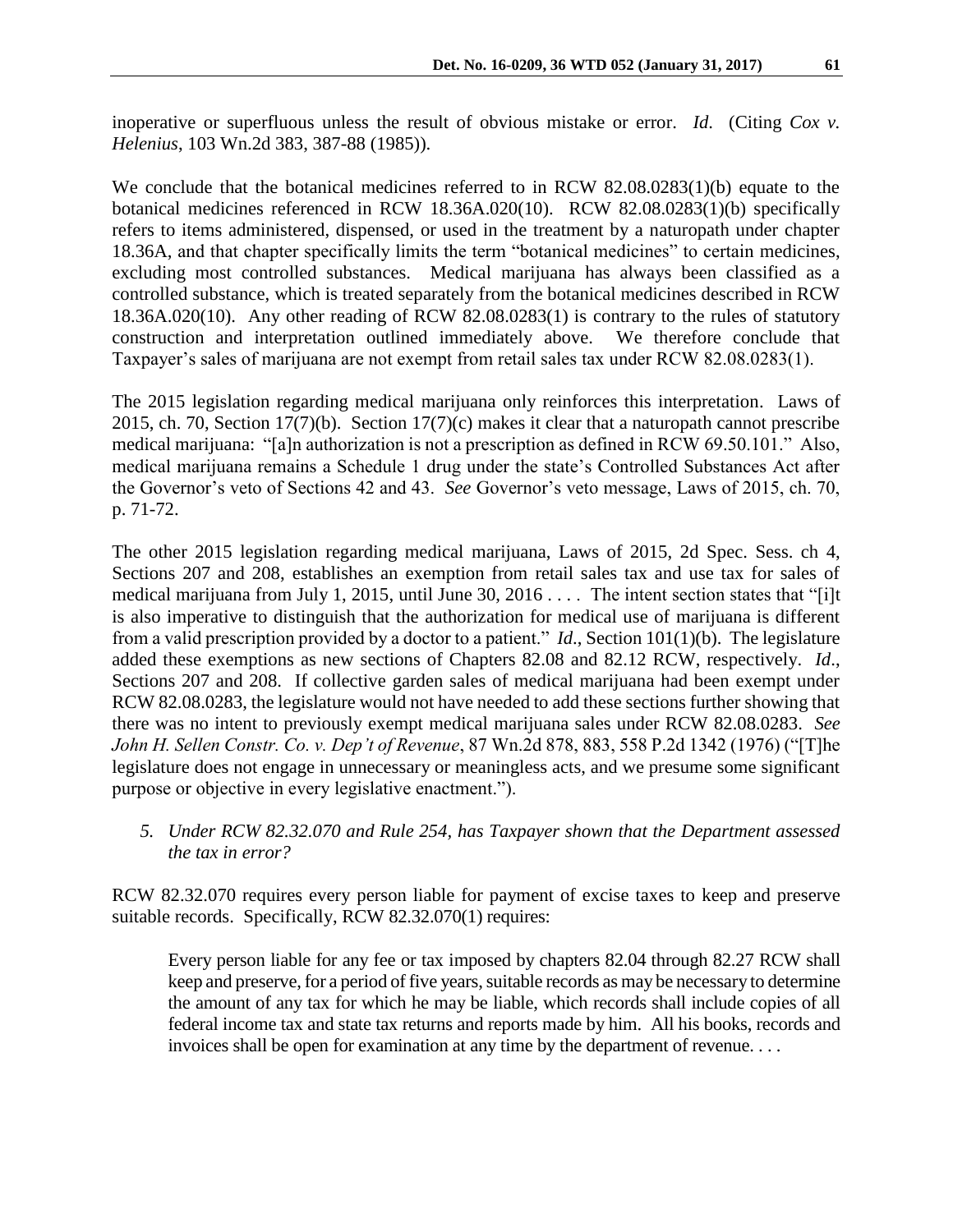inoperative or superfluous unless the result of obvious mistake or error. *Id*. (Citing *Cox v. Helenius*, 103 Wn.2d 383, 387-88 (1985)).

We conclude that the botanical medicines referred to in RCW 82.08.0283(1)(b) equate to the botanical medicines referenced in RCW 18.36A.020(10). RCW 82.08.0283(1)(b) specifically refers to items administered, dispensed, or used in the treatment by a naturopath under chapter 18.36A, and that chapter specifically limits the term "botanical medicines" to certain medicines, excluding most controlled substances. Medical marijuana has always been classified as a controlled substance, which is treated separately from the botanical medicines described in RCW 18.36A.020(10). Any other reading of RCW 82.08.0283(1) is contrary to the rules of statutory construction and interpretation outlined immediately above. We therefore conclude that Taxpayer's sales of marijuana are not exempt from retail sales tax under RCW 82.08.0283(1).

The 2015 legislation regarding medical marijuana only reinforces this interpretation. Laws of 2015, ch. 70, Section 17(7)(b). Section 17(7)(c) makes it clear that a naturopath cannot prescribe medical marijuana: "[a]n authorization is not a prescription as defined in RCW 69.50.101." Also, medical marijuana remains a Schedule 1 drug under the state's Controlled Substances Act after the Governor's veto of Sections 42 and 43. *See* Governor's veto message, Laws of 2015, ch. 70, p. 71-72.

The other 2015 legislation regarding medical marijuana, Laws of 2015, 2d Spec. Sess. ch 4, Sections 207 and 208, establishes an exemption from retail sales tax and use tax for sales of medical marijuana from July 1, 2015, until June 30, 2016 . . . . The intent section states that "[i]t is also imperative to distinguish that the authorization for medical use of marijuana is different from a valid prescription provided by a doctor to a patient." *Id*., Section 101(1)(b). The legislature added these exemptions as new sections of Chapters 82.08 and 82.12 RCW, respectively. *Id*., Sections 207 and 208. If collective garden sales of medical marijuana had been exempt under RCW 82.08.0283, the legislature would not have needed to add these sections further showing that there was no intent to previously exempt medical marijuana sales under RCW 82.08.0283. *See John H. Sellen Constr. Co. v. Dep't of Revenue*, 87 Wn.2d 878, 883, 558 P.2d 1342 (1976) ("[T]he legislature does not engage in unnecessary or meaningless acts, and we presume some significant purpose or objective in every legislative enactment.").

*5. Under RCW 82.32.070 and Rule 254, has Taxpayer shown that the Department assessed the tax in error?*

RCW 82.32.070 requires every person liable for payment of excise taxes to keep and preserve suitable records. Specifically, RCW 82.32.070(1) requires:

Every person liable for any fee or tax imposed by chapters 82.04 through 82.27 RCW shall keep and preserve, for a period of five years, suitable records as may be necessary to determine the amount of any tax for which he may be liable, which records shall include copies of all federal income tax and state tax returns and reports made by him. All his books, records and invoices shall be open for examination at any time by the department of revenue. . . .